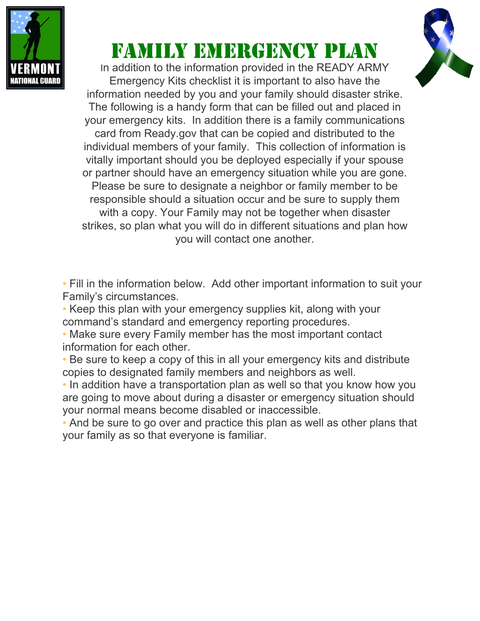

## family emergency plan

In addition to the information provided in the READY ARMY Emergency Kits checklist it is important to also have the information needed by you and your family should disaster strike. The following is a handy form that can be filled out and placed in your emergency kits. In addition there is a family communications card from Ready.gov that can be copied and distributed to the individual members of your family. This collection of information is vitally important should you be deployed especially if your spouse or partner should have an emergency situation while you are gone. Please be sure to designate a neighbor or family member to be responsible should a situation occur and be sure to supply them with a copy. Your Family may not be together when disaster strikes, so plan what you will do in different situations and plan how you will contact one another.

• Fill in the information below. Add other important information to suit your Family's circumstances.

• Keep this plan with your emergency supplies kit, along with your command's standard and emergency reporting procedures.

• Make sure every Family member has the most important contact information for each other.

• Be sure to keep a copy of this in all your emergency kits and distribute copies to designated family members and neighbors as well.

• In addition have a transportation plan as well so that you know how you are going to move about during a disaster or emergency situation should your normal means become disabled or inaccessible.

• And be sure to go over and practice this plan as well as other plans that your family as so that everyone is familiar.

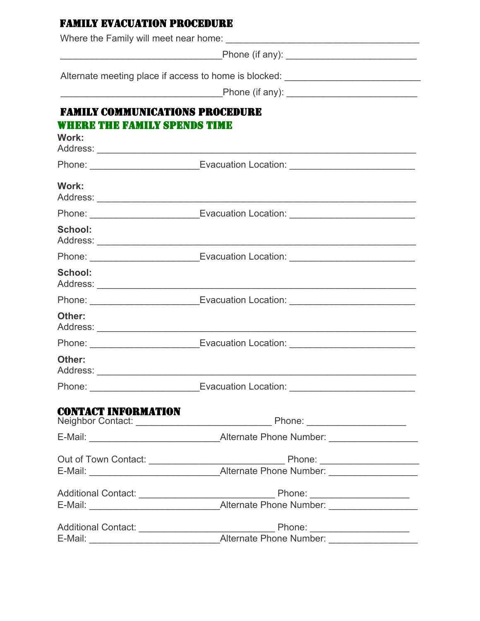| <b>FAMILY EVACUATION PROCEDURE</b>                                                                             |                                                                                  |  |  |
|----------------------------------------------------------------------------------------------------------------|----------------------------------------------------------------------------------|--|--|
|                                                                                                                |                                                                                  |  |  |
|                                                                                                                |                                                                                  |  |  |
|                                                                                                                | Alternate meeting place if access to home is blocked: __________________________ |  |  |
| Phone (if any): 2008 2009 2009 2012 2023 2024 2024 2022 2024 2022 2024 2022 2024 2022 2023 2024 2025 2026 2027 |                                                                                  |  |  |
| <b>FAMILY COMMUNICATIONS PROCEDURE</b>                                                                         |                                                                                  |  |  |
| WHERE THE FAMILY SPENDS TIME                                                                                   |                                                                                  |  |  |
| Work:                                                                                                          |                                                                                  |  |  |
|                                                                                                                | Phone: ____________________________Evacuation Location: ________________________ |  |  |
| Work:                                                                                                          |                                                                                  |  |  |
|                                                                                                                | Phone: ___________________________Evacuation Location: _________________________ |  |  |
| <b>School:</b>                                                                                                 |                                                                                  |  |  |
|                                                                                                                | Phone: _____________________________Evacuation Location: _______________________ |  |  |
| <b>School:</b>                                                                                                 |                                                                                  |  |  |
|                                                                                                                | Phone: ____________________________Evacuation Location: ________________________ |  |  |
| Other:                                                                                                         |                                                                                  |  |  |
|                                                                                                                | Phone: ___________________________Evacuation Location: _________________________ |  |  |
| Other:                                                                                                         |                                                                                  |  |  |
|                                                                                                                | Phone: ___________________________Evacuation Location: _________________________ |  |  |
| <b>CONTACT INFORMATION</b>                                                                                     |                                                                                  |  |  |
|                                                                                                                |                                                                                  |  |  |
|                                                                                                                |                                                                                  |  |  |
|                                                                                                                |                                                                                  |  |  |
| E-Mail:                                                                                                        |                                                                                  |  |  |